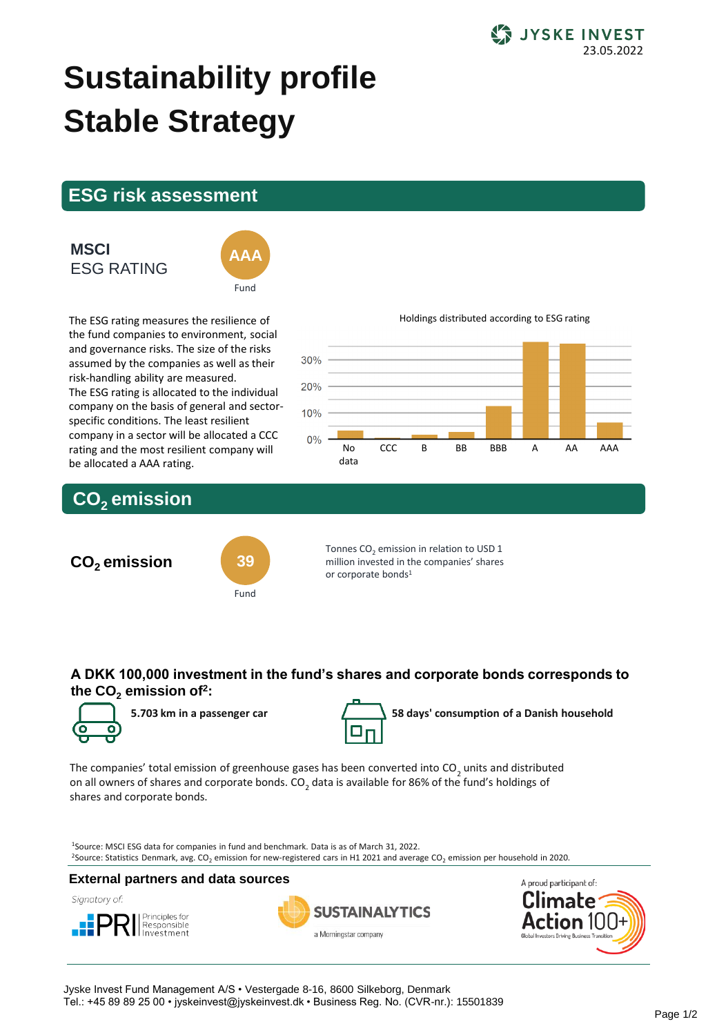

# **Sustainability profile Stable Strategy**

### **ESG risk assessment**

#### **MSCI** ESG RATING



The ESG rating measures the resilience of the fund companies to environment, social and governance risks. The size of the risks assumed by the companies as well as their risk-handling ability are measured. The ESG rating is allocated to the individual company on the basis of general and sectorspecific conditions. The least resilient company in a sector will be allocated a CCC rating and the most resilient company will be allocated a AAA rating.

Holdings distributed according to ESG rating



# **CO2 emission**



Tonnes CO<sub>2</sub> emission in relation to USD 1 million invested in the companies' shares or corporate bonds<sup>1</sup>

#### **A DKK 100,000 investment in the fund's shares and corporate bonds corresponds to the CO<sup>2</sup> emission of<sup>2</sup> :**





**5.703 km in a passenger car 19.83 Consumption of a Danish household** 

The companies' total emission of greenhouse gases has been converted into CO<sub>2</sub> units and distributed on all owners of shares and corporate bonds. CO<sub>2</sub> data is available for 86% of the fund's holdings of shares and corporate bonds.

<sup>1</sup>Source: MSCI ESG data for companies in fund and benchmark. Data is as of March 31, 2022. <sup>2</sup>Source: Statistics Denmark, avg. CO<sub>2</sub> emission for new-registered cars in H1 2021 and average CO<sub>2</sub> emission per household in 2020.

#### **External partners and data sources**

Signatory of:







Jyske Invest Fund Management A/S • Vestergade 8-16, 8600 Silkeborg, Denmark Tel.: +45 89 89 25 00 • jyskeinvest@jyskeinvest.dk • Business Reg. No. (CVR-nr.): 15501839